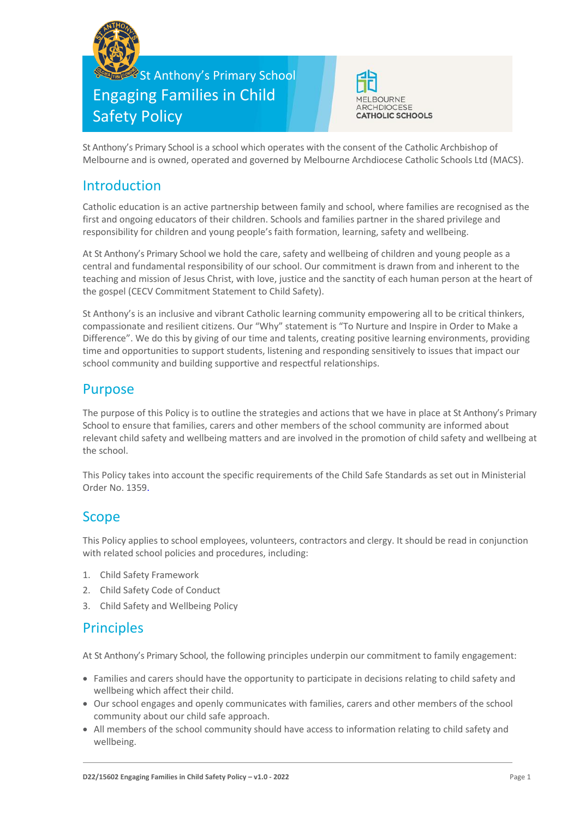

# St Anthony's Primary School Engaging Families in Child Safety Policy



St Anthony's Primary School is a school which operates with the consent of the Catholic Archbishop of Melbourne and is owned, operated and governed by Melbourne Archdiocese Catholic Schools Ltd (MACS).

## Introduction

Catholic education is an active partnership between family and school, where families are recognised as the first and ongoing educators of their children. Schools and families partner in the shared privilege and responsibility for children and young people's faith formation, learning, safety and wellbeing.

At St Anthony's Primary School we hold the care, safety and wellbeing of children and young people as a central and fundamental responsibility of our school. Our commitment is drawn from and inherent to the teaching and mission of Jesus Christ, with love, justice and the sanctity of each human person at the heart of the gospel (CECV Commitment Statement to Child Safety).

St Anthony's is an inclusive and vibrant Catholic learning community empowering all to be critical thinkers, compassionate and resilient citizens. Our "Why" statement is "To Nurture and Inspire in Order to Make a Difference". We do this by giving of our time and talents, creating positive learning environments, providing time and opportunities to support students, listening and responding sensitively to issues that impact our school community and building supportive and respectful relationships.

### Purpose

The purpose of this Policy is to outline the strategies and actions that we have in place at St Anthony's Primary School to ensure that families, carers and other members of the school community are informed about relevant child safety and wellbeing matters and are involved in the promotion of child safety and wellbeing at the school.

This Policy takes into account the specific requirements of the Child Safe Standards as set out in Ministerial Order No. 1359.

### Scope

This Policy applies to school employees, volunteers, contractors and clergy. It should be read in conjunction with related school policies and procedures, including:

- 1. Child Safety Framework
- 2. Child Safety Code of Conduct
- 3. Child Safety and Wellbeing Policy

# Principles

At St Anthony's Primary School, the following principles underpin our commitment to family engagement:

- Families and carers should have the opportunity to participate in decisions relating to child safety and wellbeing which affect their child.
- Our school engages and openly communicates with families, carers and other members of the school community about our child safe approach.
- All members of the school community should have access to information relating to child safety and wellbeing.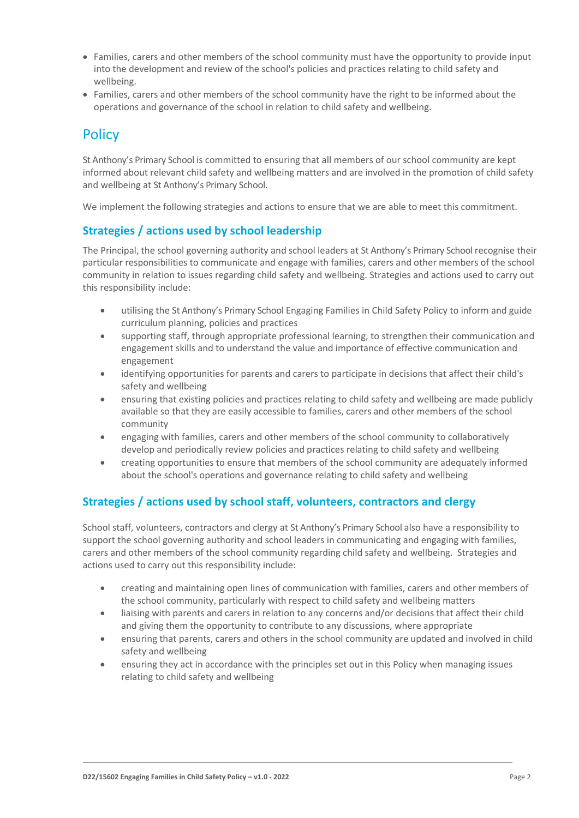- Families, carers and other members of the school community must have the opportunity to provide input into the development and review of the school's policies and practices relating to child safety and wellbeing.
- Families, carers and other members of the school community have the right to be informed about the operations and governance of the school in relation to child safety and wellbeing.

# **Policy**

St Anthony's Primary School is committed to ensuring that all members of our school community are kept informed about relevant child safety and wellbeing matters and are involved in the promotion of child safety and wellbeing at St Anthony's Primary School.

We implement the following strategies and actions to ensure that we are able to meet this commitment.

#### **Strategies / actions used by school leadership**

The Principal, the school governing authority and school leaders at St Anthony's Primary School recognise their particular responsibilities to communicate and engage with families, carers and other members of the school community in relation to issues regarding child safety and wellbeing. Strategies and actions used to carry out this responsibility include:

- utilising the St Anthony's Primary School Engaging Families in Child Safety Policy to inform and guide curriculum planning, policies and practices
- supporting staff, through appropriate professional learning, to strengthen their communication and engagement skills and to understand the value and importance of effective communication and engagement
- identifying opportunities for parents and carers to participate in decisions that affect their child's safety and wellbeing
- ensuring that existing policies and practices relating to child safety and wellbeing are made publicly available so that they are easily accessible to families, carers and other members of the school community
- engaging with families, carers and other members of the school community to collaboratively develop and periodically review policies and practices relating to child safety and wellbeing
- creating opportunities to ensure that members of the school community are adequately informed about the school's operations and governance relating to child safety and wellbeing

#### **Strategies / actions used by school staff, volunteers, contractors and clergy**

School staff, volunteers, contractors and clergy at St Anthony's Primary School also have a responsibility to support the school governing authority and school leaders in communicating and engaging with families, carers and other members of the school community regarding child safety and wellbeing. Strategies and actions used to carry out this responsibility include:

- creating and maintaining open lines of communication with families, carers and other members of the school community, particularly with respect to child safety and wellbeing matters
- liaising with parents and carers in relation to any concerns and/or decisions that affect their child and giving them the opportunity to contribute to any discussions, where appropriate
- ensuring that parents, carers and others in the school community are updated and involved in child safety and wellbeing
- ensuring they act in accordance with the principles set out in this Policy when managing issues relating to child safety and wellbeing